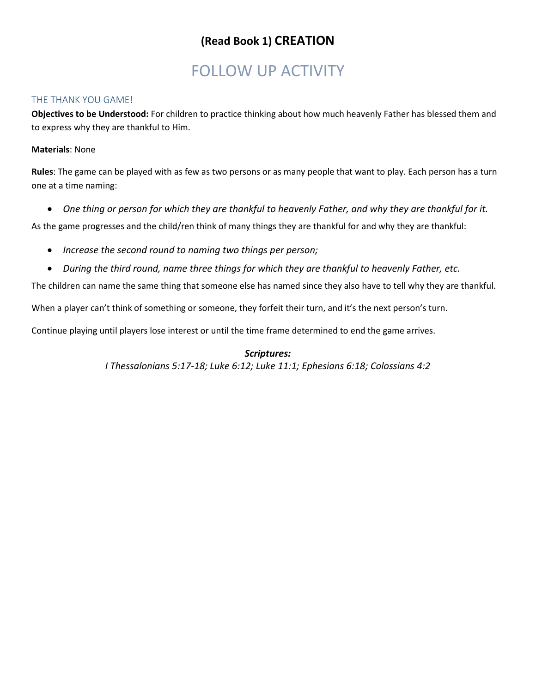## **(Read Book 1) CREATION**

# FOLLOW UP ACTIVITY

### THE THANK YOU GAME!

**Objectives to be Understood:** For children to practice thinking about how much heavenly Father has blessed them and to express why they are thankful to Him.

### **Materials**: None

**Rules**: The game can be played with as few as two persons or as many people that want to play. Each person has a turn one at a time naming:

*One thing or person for which they are thankful to heavenly Father, and why they are thankful for it.* 

As the game progresses and the child/ren think of many things they are thankful for and why they are thankful:

- *Increase the second round to naming two things per person;*
- *During the third round, name three things for which they are thankful to heavenly Father, etc.*

The children can name the same thing that someone else has named since they also have to tell why they are thankful.

When a player can't think of something or someone, they forfeit their turn, and it's the next person's turn.

Continue playing until players lose interest or until the time frame determined to end the game arrives.

### *Scriptures:*

*I Thessalonians 5:17-18; Luke 6:12; Luke 11:1; Ephesians 6:18; Colossians 4:2*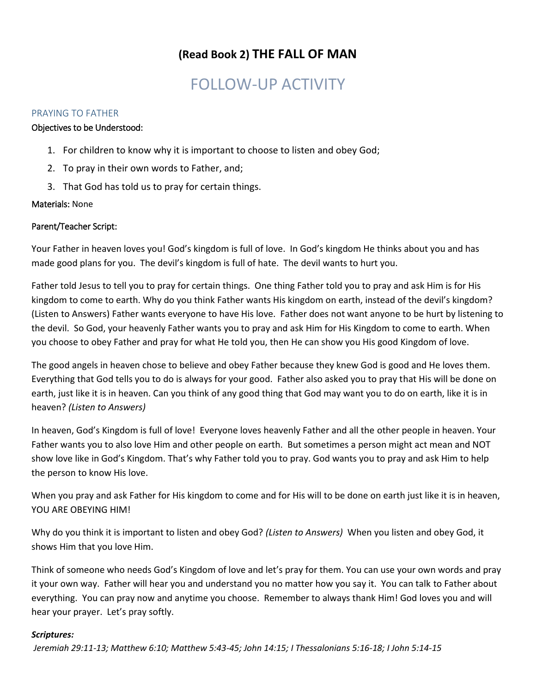## **(Read Book 2) THE FALL OF MAN**

# FOLLOW-UP ACTIVITY

### PRAYING TO FATHER

### Objectives to be Understood:

- 1. For children to know why it is important to choose to listen and obey God;
- 2. To pray in their own words to Father, and;
- 3. That God has told us to pray for certain things.

### Materials: None

### Parent/Teacher Script:

Your Father in heaven loves you! God's kingdom is full of love. In God's kingdom He thinks about you and has made good plans for you. The devil's kingdom is full of hate. The devil wants to hurt you.

Father told Jesus to tell you to pray for certain things. One thing Father told you to pray and ask Him is for His kingdom to come to earth. Why do you think Father wants His kingdom on earth, instead of the devil's kingdom? (Listen to Answers) Father wants everyone to have His love. Father does not want anyone to be hurt by listening to the devil. So God, your heavenly Father wants you to pray and ask Him for His Kingdom to come to earth. When you choose to obey Father and pray for what He told you, then He can show you His good Kingdom of love.

The good angels in heaven chose to believe and obey Father because they knew God is good and He loves them. Everything that God tells you to do is always for your good. Father also asked you to pray that His will be done on earth, just like it is in heaven. Can you think of any good thing that God may want you to do on earth, like it is in heaven? *(Listen to Answers)* 

In heaven, God's Kingdom is full of love! Everyone loves heavenly Father and all the other people in heaven. Your Father wants you to also love Him and other people on earth. But sometimes a person might act mean and NOT show love like in God's Kingdom. That's why Father told you to pray. God wants you to pray and ask Him to help the person to know His love.

When you pray and ask Father for His kingdom to come and for His will to be done on earth just like it is in heaven, YOU ARE OBEYING HIM!

Why do you think it is important to listen and obey God? *(Listen to Answers)* When you listen and obey God, it shows Him that you love Him.

Think of someone who needs God's Kingdom of love and let's pray for them. You can use your own words and pray it your own way. Father will hear you and understand you no matter how you say it. You can talk to Father about everything. You can pray now and anytime you choose. Remember to always thank Him! God loves you and will hear your prayer. Let's pray softly.

### *Scriptures:*

*Jeremiah 29:11-13; Matthew 6:10; Matthew 5:43-45; John 14:15; I Thessalonians 5:16-18; I John 5:14-15*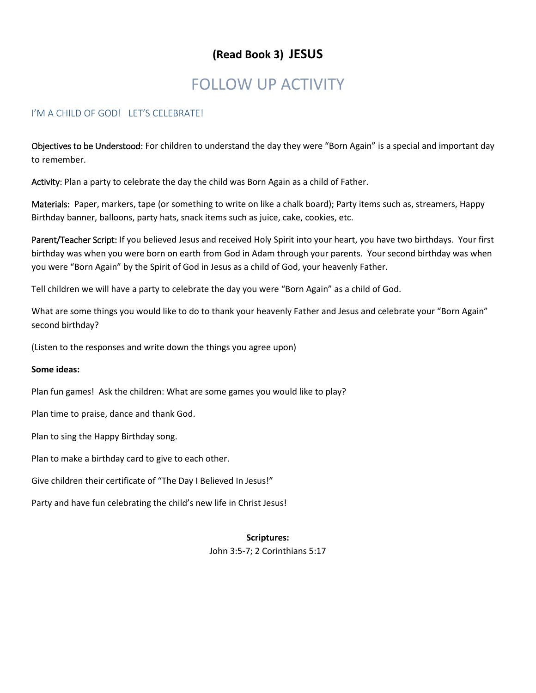## **(Read Book 3) JESUS**

# FOLLOW UP ACTIVITY

### I'M A CHILD OF GOD! LET'S CELEBRATE!

Objectives to be Understood: For children to understand the day they were "Born Again" is a special and important day to remember.

Activity: Plan a party to celebrate the day the child was Born Again as a child of Father.

Materials: Paper, markers, tape (or something to write on like a chalk board); Party items such as, streamers, Happy Birthday banner, balloons, party hats, snack items such as juice, cake, cookies, etc.

Parent/Teacher Script: If you believed Jesus and received Holy Spirit into your heart, you have two birthdays. Your first birthday was when you were born on earth from God in Adam through your parents. Your second birthday was when you were "Born Again" by the Spirit of God in Jesus as a child of God, your heavenly Father.

Tell children we will have a party to celebrate the day you were "Born Again" as a child of God.

What are some things you would like to do to thank your heavenly Father and Jesus and celebrate your "Born Again" second birthday?

(Listen to the responses and write down the things you agree upon)

### **Some ideas:**

Plan fun games! Ask the children: What are some games you would like to play?

Plan time to praise, dance and thank God.

Plan to sing the Happy Birthday song.

Plan to make a birthday card to give to each other.

Give children their certificate of "The Day I Believed In Jesus!"

Party and have fun celebrating the child's new life in Christ Jesus!

### **Scriptures:**

John 3:5-7; 2 Corinthians 5:17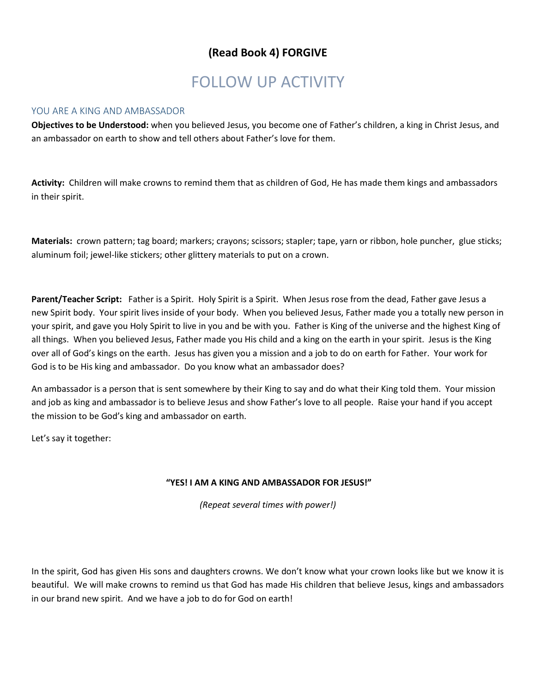### **(Read Book 4) FORGIVE**

# FOLLOW UP ACTIVITY

### YOU ARE A KING AND AMBASSADOR

**Objectives to be Understood:** when you believed Jesus, you become one of Father's children, a king in Christ Jesus, and an ambassador on earth to show and tell others about Father's love for them.

**Activity:** Children will make crowns to remind them that as children of God, He has made them kings and ambassadors in their spirit.

**Materials:** crown pattern; tag board; markers; crayons; scissors; stapler; tape, yarn or ribbon, hole puncher, glue sticks; aluminum foil; jewel-like stickers; other glittery materials to put on a crown.

**Parent/Teacher Script:** Father is a Spirit. Holy Spirit is a Spirit. When Jesus rose from the dead, Father gave Jesus a new Spirit body. Your spirit lives inside of your body. When you believed Jesus, Father made you a totally new person in your spirit, and gave you Holy Spirit to live in you and be with you. Father is King of the universe and the highest King of all things. When you believed Jesus, Father made you His child and a king on the earth in your spirit. Jesus is the King over all of God's kings on the earth. Jesus has given you a mission and a job to do on earth for Father. Your work for God is to be His king and ambassador. Do you know what an ambassador does?

An ambassador is a person that is sent somewhere by their King to say and do what their King told them. Your mission and job as king and ambassador is to believe Jesus and show Father's love to all people. Raise your hand if you accept the mission to be God's king and ambassador on earth.

Let's say it together:

### **"YES! I AM A KING AND AMBASSADOR FOR JESUS!"**

*(Repeat several times with power!)*

In the spirit, God has given His sons and daughters crowns. We don't know what your crown looks like but we know it is beautiful. We will make crowns to remind us that God has made His children that believe Jesus, kings and ambassadors in our brand new spirit. And we have a job to do for God on earth!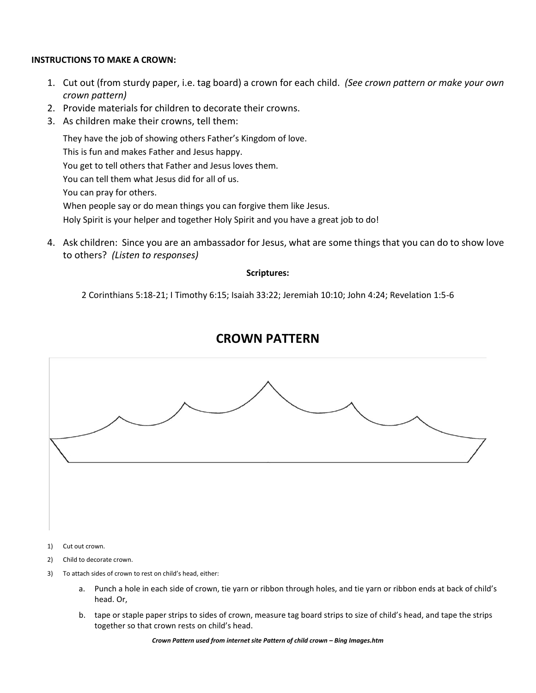### **INSTRUCTIONS TO MAKE A CROWN:**

- 1. Cut out (from sturdy paper, i.e. tag board) a crown for each child. *(See crown pattern or make your own crown pattern)*
- 2. Provide materials for children to decorate their crowns.
- 3. As children make their crowns, tell them:

They have the job of showing others Father's Kingdom of love. This is fun and makes Father and Jesus happy. You get to tell others that Father and Jesus loves them. You can tell them what Jesus did for all of us. You can pray for others. When people say or do mean things you can forgive them like Jesus. Holy Spirit is your helper and together Holy Spirit and you have a great job to do!

4. Ask children: Since you are an ambassador for Jesus, what are some things that you can do to show love to others? *(Listen to responses)*

### **Scriptures:**

2 Corinthians 5:18-21; I Timothy 6:15; Isaiah 33:22; Jeremiah 10:10; John 4:24; Revelation 1:5-6

## **CROWN PATTERN**



1) Cut out crown.

- 2) Child to decorate crown.
- 3) To attach sides of crown to rest on child's head, either:
	- a. Punch a hole in each side of crown, tie yarn or ribbon through holes, and tie yarn or ribbon ends at back of child's head. Or,
	- b. tape or staple paper strips to sides of crown, measure tag board strips to size of child's head, and tape the strips together so that crown rests on child's head.

*Crown Pattern used from internet site Pattern of child crown - Bing Images.htm*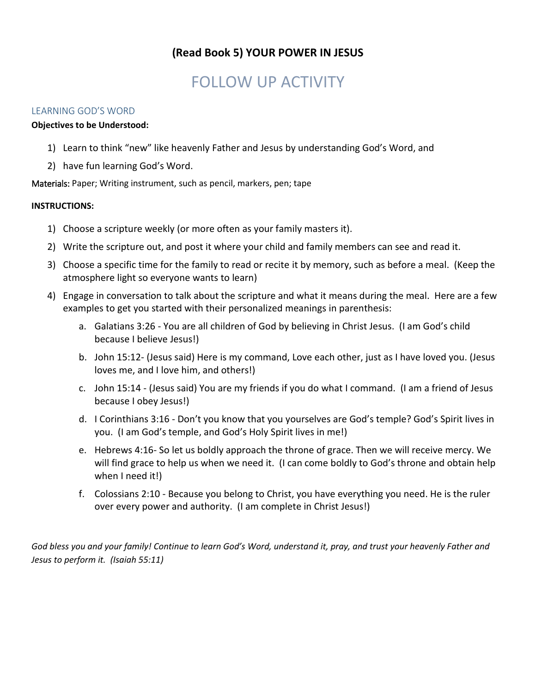## **(Read Book 5) YOUR POWER IN JESUS**

# FOLLOW UP ACTIVITY

### LEARNING GOD'S WORD

### **Objectives to be Understood:**

- 1) Learn to think "new" like heavenly Father and Jesus by understanding God's Word, and
- 2) have fun learning God's Word.

Materials: Paper; Writing instrument, such as pencil, markers, pen; tape

### **INSTRUCTIONS:**

- 1) Choose a scripture weekly (or more often as your family masters it).
- 2) Write the scripture out, and post it where your child and family members can see and read it.
- 3) Choose a specific time for the family to read or recite it by memory, such as before a meal. (Keep the atmosphere light so everyone wants to learn)
- 4) Engage in conversation to talk about the scripture and what it means during the meal. Here are a few examples to get you started with their personalized meanings in parenthesis:
	- a. Galatians 3:26 You are all children of God by believing in Christ Jesus. (I am God's child because I believe Jesus!)
	- b. John 15:12- (Jesus said) Here is my command, Love each other, just as I have loved you. (Jesus loves me, and I love him, and others!)
	- c. John 15:14 (Jesus said) You are my friends if you do what I command. (I am a friend of Jesus because I obey Jesus!)
	- d. I Corinthians 3:16 Don't you know that you yourselves are God's temple? God's Spirit lives in you. (I am God's temple, and God's Holy Spirit lives in me!)
	- e. Hebrews 4:16- So let us boldly approach the throne of grace. Then we will receive mercy. We will find grace to help us when we need it. (I can come boldly to God's throne and obtain help when I need it!)
	- f. Colossians 2:10 Because you belong to Christ, you have everything you need. He is the ruler over every power and authority. (I am complete in Christ Jesus!)

*God bless you and your family! Continue to learn God's Word, understand it, pray, and trust your heavenly Father and Jesus to perform it. (Isaiah 55:11)*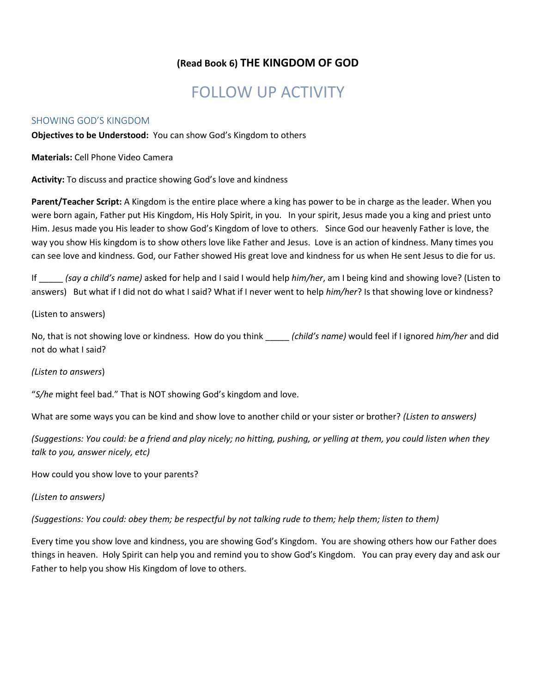### **(Read Book 6) THE KINGDOM OF GOD**

# FOLLOW UP ACTIVITY

### SHOWING GOD'S KINGDOM

**Objectives to be Understood:** You can show God's Kingdom to others

**Materials:** Cell Phone Video Camera

**Activity:** To discuss and practice showing God's love and kindness

**Parent/Teacher Script:** A Kingdom is the entire place where a king has power to be in charge as the leader. When you were born again, Father put His Kingdom, His Holy Spirit, in you. In your spirit, Jesus made you a king and priest unto Him. Jesus made you His leader to show God's Kingdom of love to others.Since God our heavenly Father is love, the way you show His kingdom is to show others love like Father and Jesus. Love is an action of kindness. Many times you can see love and kindness. God, our Father showed His great love and kindness for us when He sent Jesus to die for us.

If \_\_\_\_\_ *(say a child's name)* asked for help and I said I would help *him/her*, am I being kind and showing love? (Listen to answers) But what if I did not do what I said? What if I never went to help *him/her*? Is that showing love or kindness?

#### (Listen to answers)

No, that is not showing love or kindness. How do you think \_\_\_\_\_ *(child's name)* would feel if I ignored *him/her* and did not do what I said?

### *(Listen to answers*)

"*S/he* might feel bad." That is NOT showing God's kingdom and love.

What are some ways you can be kind and show love to another child or your sister or brother? *(Listen to answers)*

*(Suggestions: You could: be a friend and play nicely; no hitting, pushing, or yelling at them, you could listen when they talk to you, answer nicely, etc)*

How could you show love to your parents?

### *(Listen to answers)*

*(Suggestions: You could: obey them; be respectful by not talking rude to them; help them; listen to them)*

Every time you show love and kindness, you are showing God's Kingdom. You are showing others how our Father does things in heaven. Holy Spirit can help you and remind you to show God's Kingdom. You can pray every day and ask our Father to help you show His Kingdom of love to others.